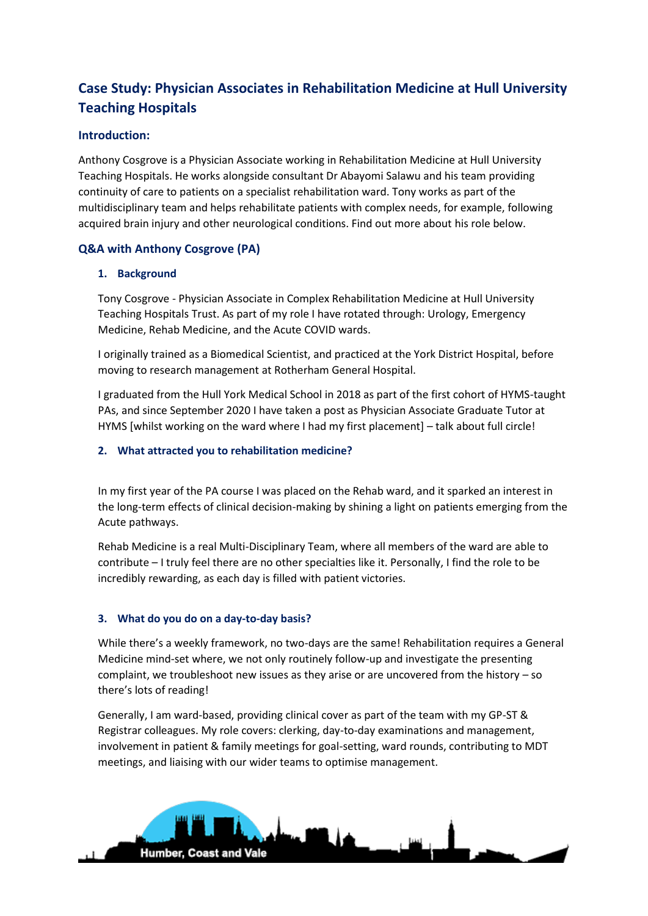# **Case Study: Physician Associates in Rehabilitation Medicine at Hull University Teaching Hospitals**

# **Introduction:**

Anthony Cosgrove is a Physician Associate working in Rehabilitation Medicine at Hull University Teaching Hospitals. He works alongside consultant Dr Abayomi Salawu and his team providing continuity of care to patients on a specialist rehabilitation ward. Tony works as part of the multidisciplinary team and helps rehabilitate patients with complex needs, for example, following acquired brain injury and other neurological conditions. Find out more about his role below.

## **Q&A with Anthony Cosgrove (PA)**

## **1. Background**

Tony Cosgrove - Physician Associate in Complex Rehabilitation Medicine at Hull University Teaching Hospitals Trust. As part of my role I have rotated through: Urology, Emergency Medicine, Rehab Medicine, and the Acute COVID wards.

I originally trained as a Biomedical Scientist, and practiced at the York District Hospital, before moving to research management at Rotherham General Hospital.

I graduated from the Hull York Medical School in 2018 as part of the first cohort of HYMS-taught PAs, and since September 2020 I have taken a post as Physician Associate Graduate Tutor at HYMS [whilst working on the ward where I had my first placement] – talk about full circle!

## **2. What attracted you to rehabilitation medicine?**

In my first year of the PA course I was placed on the Rehab ward, and it sparked an interest in the long-term effects of clinical decision-making by shining a light on patients emerging from the Acute pathways.

Rehab Medicine is a real Multi-Disciplinary Team, where all members of the ward are able to contribute – I truly feel there are no other specialties like it. Personally, I find the role to be incredibly rewarding, as each day is filled with patient victories.

## **3. What do you do on a day-to-day basis?**

While there's a weekly framework, no two-days are the same! Rehabilitation requires a General Medicine mind-set where, we not only routinely follow-up and investigate the presenting complaint, we troubleshoot new issues as they arise or are uncovered from the history – so there's lots of reading!

Generally, I am ward-based, providing clinical cover as part of the team with my GP-ST & Registrar colleagues. My role covers: clerking, day-to-day examinations and management, involvement in patient & family meetings for goal-setting, ward rounds, contributing to MDT meetings, and liaising with our wider teams to optimise management.

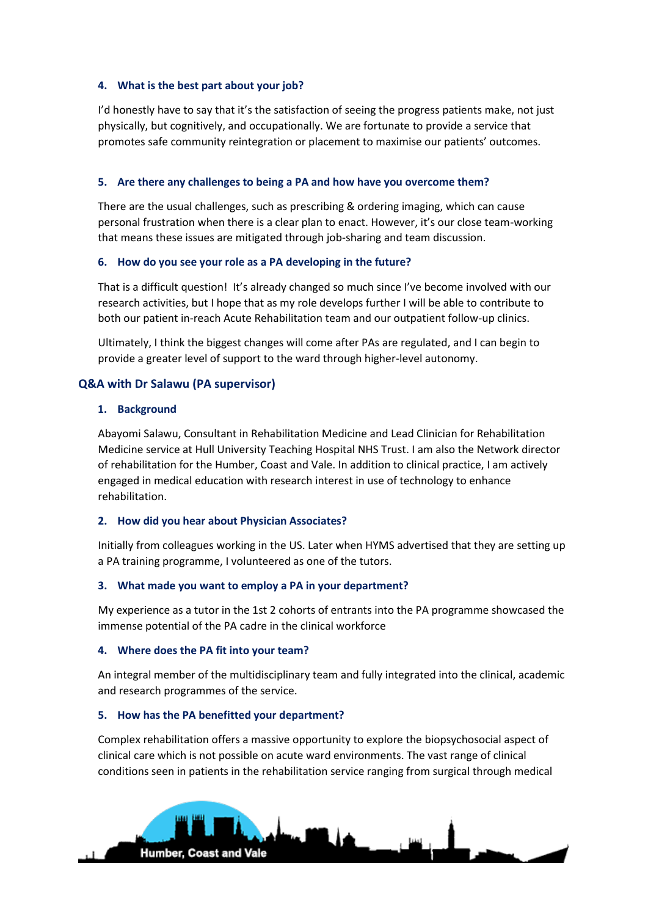## **4. What is the best part about your job?**

I'd honestly have to say that it's the satisfaction of seeing the progress patients make, not just physically, but cognitively, and occupationally. We are fortunate to provide a service that promotes safe community reintegration or placement to maximise our patients' outcomes.

## **5. Are there any challenges to being a PA and how have you overcome them?**

There are the usual challenges, such as prescribing & ordering imaging, which can cause personal frustration when there is a clear plan to enact. However, it's our close team-working that means these issues are mitigated through job-sharing and team discussion.

#### **6. How do you see your role as a PA developing in the future?**

That is a difficult question! It's already changed so much since I've become involved with our research activities, but I hope that as my role develops further I will be able to contribute to both our patient in-reach Acute Rehabilitation team and our outpatient follow-up clinics.

Ultimately, I think the biggest changes will come after PAs are regulated, and I can begin to provide a greater level of support to the ward through higher-level autonomy.

## **Q&A with Dr Salawu (PA supervisor)**

## **1. Background**

Abayomi Salawu, Consultant in Rehabilitation Medicine and Lead Clinician for Rehabilitation Medicine service at Hull University Teaching Hospital NHS Trust. I am also the Network director of rehabilitation for the Humber, Coast and Vale. In addition to clinical practice, I am actively engaged in medical education with research interest in use of technology to enhance rehabilitation.

## **2. How did you hear about Physician Associates?**

Initially from colleagues working in the US. Later when HYMS advertised that they are setting up a PA training programme, I volunteered as one of the tutors.

#### **3. What made you want to employ a PA in your department?**

My experience as a tutor in the 1st 2 cohorts of entrants into the PA programme showcased the immense potential of the PA cadre in the clinical workforce

#### **4. Where does the PA fit into your team?**

An integral member of the multidisciplinary team and fully integrated into the clinical, academic and research programmes of the service.

## **5. How has the PA benefitted your department?**

Complex rehabilitation offers a massive opportunity to explore the biopsychosocial aspect of clinical care which is not possible on acute ward environments. The vast range of clinical conditions seen in patients in the rehabilitation service ranging from surgical through medical